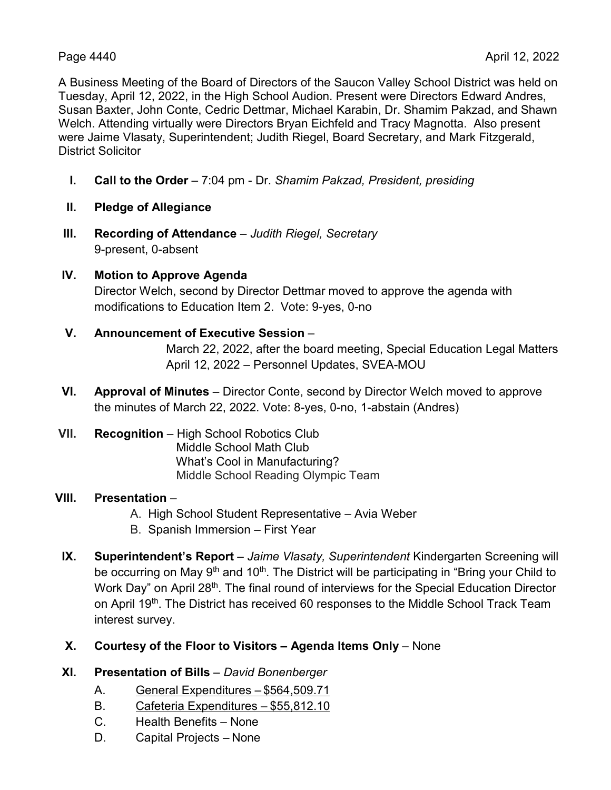A Business Meeting of the Board of Directors of the Saucon Valley School District was held on Tuesday, April 12, 2022, in the High School Audion. Present were Directors Edward Andres, Susan Baxter, John Conte, Cedric Dettmar, Michael Karabin, Dr. Shamim Pakzad, and Shawn Welch. Attending virtually were Directors Bryan Eichfeld and Tracy Magnotta. Also present were Jaime Vlasaty, Superintendent; Judith Riegel, Board Secretary, and Mark Fitzgerald, District Solicitor

- **I. Call to the Order** 7:04 pm Dr. *Shamim Pakzad, President, presiding*
- **II. Pledge of Allegiance**
- **III. Recording of Attendance** *Judith Riegel, Secretary* 9-present, 0-absent
- **IV. Motion to Approve Agenda** Director Welch, second by Director Dettmar moved to approve the agenda with modifications to Education Item 2. Vote: 9-yes, 0-no
- **V. Announcement of Executive Session** March 22, 2022, after the board meeting, Special Education Legal Matters

April 12, 2022 – Personnel Updates, SVEA-MOU

- **VI. Approval of Minutes** Director Conte, second by Director Welch moved to approve the minutes of March 22, 2022. Vote: 8-yes, 0-no, 1-abstain (Andres)
- **VII. Recognition** High School Robotics Club Middle School Math Club What's Cool in Manufacturing? Middle School Reading Olympic Team

# **VIII. Presentation** –

- A. High School Student Representative Avia Weber
- B. Spanish Immersion First Year
- **IX. Superintendent's Report** *Jaime Vlasaty, Superintendent* Kindergarten Screening will be occurring on May  $9<sup>th</sup>$  and 10<sup>th</sup>. The District will be participating in "Bring your Child to Work Day" on April 28<sup>th</sup>. The final round of interviews for the Special Education Director on April 19<sup>th</sup>. The District has received 60 responses to the Middle School Track Team interest survey.
- **X. Courtesy of the Floor to Visitors – Agenda Items Only** None
- **XI. Presentation of Bills** *David Bonenberger*
	- A. General Expenditures \$564,509.71
	- B. Cafeteria Expenditures \$55,812.10
	- C. Health Benefits None
	- D. Capital Projects None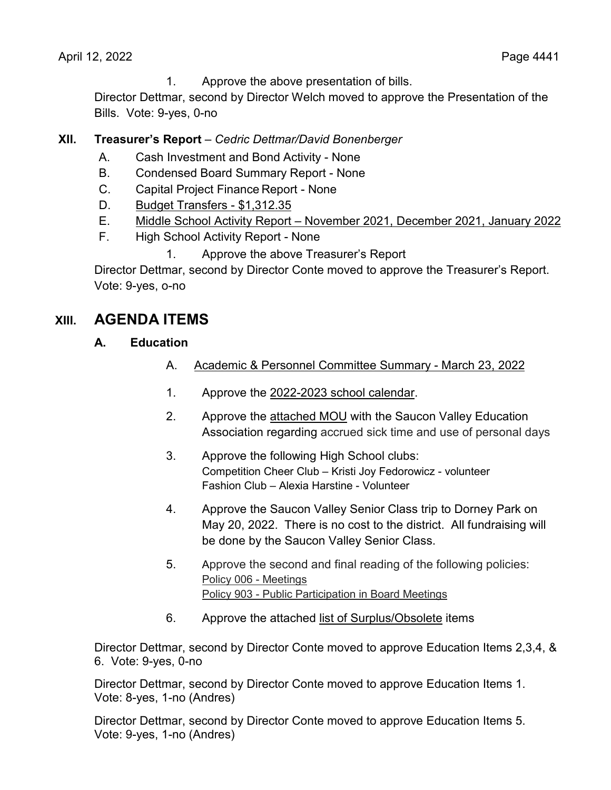1. Approve the above presentation of bills.

Director Dettmar, second by Director Welch moved to approve the Presentation of the Bills. Vote: 9-yes, 0-no

# **XII. Treasurer's Report** – *Cedric Dettmar/David Bonenberger*

- A. Cash Investment and Bond Activity None
- B. Condensed Board Summary Report None
- C. Capital Project Finance Report None
- D. Budget Transfers \$1,312.35
- E. Middle School Activity Report November 2021, December 2021, January 2022
- F. High School Activity Report None
	- 1. Approve the above Treasurer's Report

Director Dettmar, second by Director Conte moved to approve the Treasurer's Report. Vote: 9-yes, o-no

# **XIII. AGENDA ITEMS**

- **A. Education**
	- A. Academic & Personnel Committee Summary March 23, 2022
	- 1. Approve the 2022-2023 school calendar.
	- 2. Approve the attached MOU with the Saucon Valley Education Association regarding accrued sick time and use of personal days
	- 3. Approve the following High School clubs: Competition Cheer Club – Kristi Joy Fedorowicz - volunteer Fashion Club – Alexia Harstine - Volunteer
	- 4. Approve the Saucon Valley Senior Class trip to Dorney Park on May 20, 2022. There is no cost to the district. All fundraising will be done by the Saucon Valley Senior Class.
	- 5. Approve the second and final reading of the following policies: Policy 006 - Meetings Policy 903 - Public Participation in Board Meetings
	- 6. Approve the attached list of Surplus/Obsolete items

Director Dettmar, second by Director Conte moved to approve Education Items 2,3,4, & 6. Vote: 9-yes, 0-no

Director Dettmar, second by Director Conte moved to approve Education Items 1. Vote: 8-yes, 1-no (Andres)

Director Dettmar, second by Director Conte moved to approve Education Items 5. Vote: 9-yes, 1-no (Andres)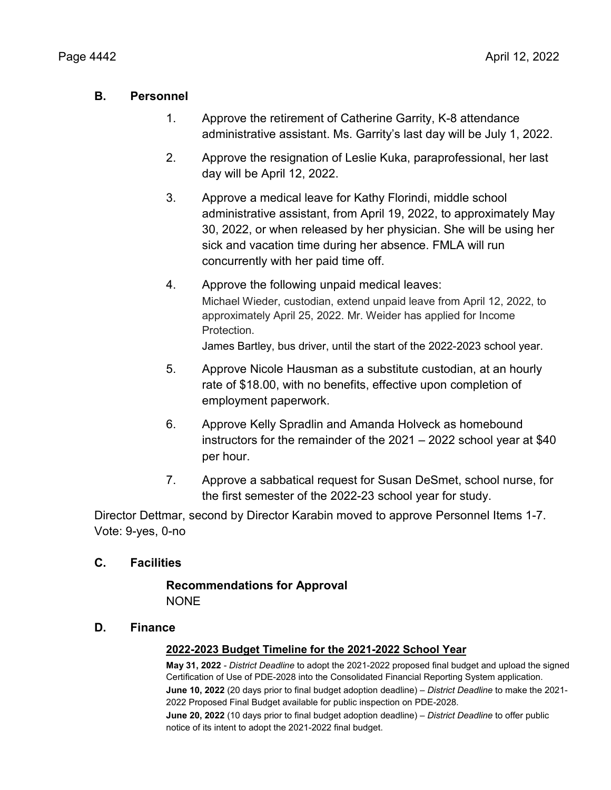### **B. Personnel**

- 1. Approve the retirement of Catherine Garrity, K-8 attendance administrative assistant. Ms. Garrity's last day will be July 1, 2022.
- 2. Approve the resignation of Leslie Kuka, paraprofessional, her last day will be April 12, 2022.
- 3. Approve a medical leave for Kathy Florindi, middle school administrative assistant, from April 19, 2022, to approximately May 30, 2022, or when released by her physician. She will be using her sick and vacation time during her absence. FMLA will run concurrently with her paid time off.
- 4. Approve the following unpaid medical leaves: Michael Wieder, custodian, extend unpaid leave from April 12, 2022, to approximately April 25, 2022. Mr. Weider has applied for Income Protection.

James Bartley, bus driver, until the start of the 2022-2023 school year.

- 5. Approve Nicole Hausman as a substitute custodian, at an hourly rate of \$18.00, with no benefits, effective upon completion of employment paperwork.
- 6. Approve Kelly Spradlin and Amanda Holveck as homebound instructors for the remainder of the 2021 – 2022 school year at \$40 per hour.
- 7. Approve a sabbatical request for Susan DeSmet, school nurse, for the first semester of the 2022-23 school year for study.

Director Dettmar, second by Director Karabin moved to approve Personnel Items 1-7. Vote: 9-yes, 0-no

#### **C. Facilities**

### **Recommendations for Approval NONE**

#### **D. Finance**

#### **2022-2023 Budget Timeline for the 2021-2022 School Year**

**May 31, 2022** - *District Deadline* to adopt the 2021-2022 proposed final budget and upload the signed Certification of Use of PDE-2028 into the Consolidated Financial Reporting System application.

**June 10, 2022** (20 days prior to final budget adoption deadline) – *District Deadline* to make the 2021- 2022 Proposed Final Budget available for public inspection on PDE-2028.

**June 20, 2022** (10 days prior to final budget adoption deadline) – *District Deadline* to offer public notice of its intent to adopt the 2021-2022 final budget.